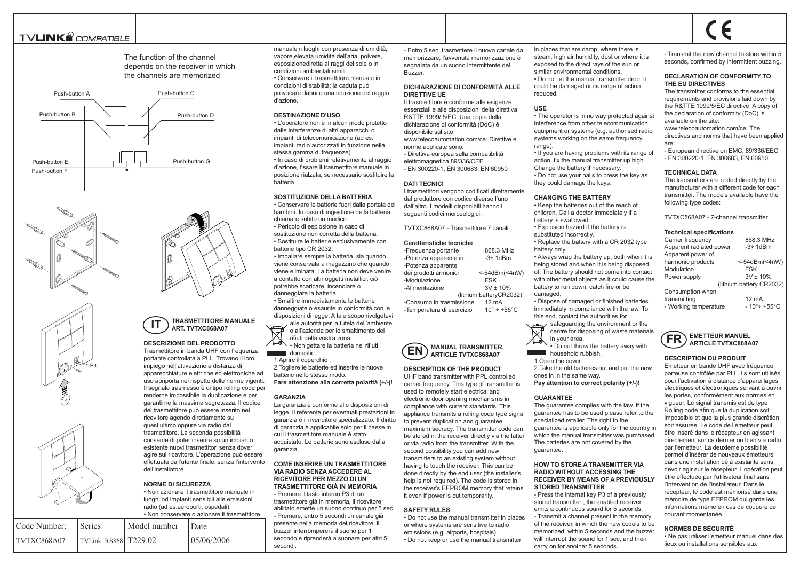# **TVLINK**<sup><sup>2</sup> COMPATIBLE</sup>







The function of the channel depends on the receiver in which the channels are memorized





#### **IT TRASMETTITORE MANUALE ART. TVTXC868A07**

### **DESCRIZIONE DEL PRODOTTO**

Trasmettitore in banda UHF con frequenza portante controllata a PLL. Trovano il loro impiego nell'attivazione a distanza di apparecchiature elettriche ed elettroniche ad uso apriporta nel rispetto delle norme vigenti. Il segnale trasmesso è di tipo rolling code per renderne impossibile la duplicazione e per garantirne la massima segretezza. Il codice del trasmettitore può essere inserito nel ricevitore agendo direttamente su quest'ultimo oppure via radio dal trasmettitore. La seconda possibilità consente di poter inserire su un impianto esistente nuovi trasmettitori senza dover agire sul ricevitore. L'operazione può essere effettuata dall'utente finale, senza l'intervento dell'installatore.

### **NORME DI SICUREZZA**

• Non azionare il trasmettitore manuale in luoghi od impianti sensibili alle emissioni radio (ad es.aeroporti, ospedali). • Non conservare o azionare il trasmettitore

| Code Number: | <b>Series</b>        | Model number | <b>Date</b> |
|--------------|----------------------|--------------|-------------|
| ITVTXC868A07 | TVLink RS868 T229.02 |              | 105/06/2006 |

manualein luoghi con presenza di umidità, vapore,elevata umidità dell'aria, polvere, esposizionediretta ai raggi del sole o in condizioni ambientali simili. • Conservare il trasmettitore manuale in condizioni di stabilità; la caduta può provocare danni o una riduzione del raggio d'azione.

### **DESTINAZIONE D'USO**

• L'operatore non è in alcun modo protetto dalle interferenze di altri apparecchi o impianti di telecomunicazione (ad es. impianti radio autorizzati in funzione nella stessa gamma di frequenze). • In caso di problemi relativamente al raggio d'azione, fissare il trasmettitore manuale in posizione rialzata, se necessario sostituire la batteria.

### **SOSTITUZIONE DELLA BATTERIA**

• Conservare le batterie fuori dalla portata dei bambini. In caso di ingestione della batteria, chiamare subito un medico.

• Pericolo di esplosione in caso di sostituzione non corretta della batteria. • Sostituire le batterie esclusivamente con batterie tipo CR 2032.

• Imballare sempre la batteria, sia quando viene conservata a magazzino che quando viene eliminata. La batteria non deve venire a contatto con altri oggetti metallici; ciò potrebbe scaricare, incendiare o danneggiare la batteria. • Smaltire immediatamente le batterie danneggiate o esaurite in conformità con le disposizioni di legge. A tale scopo rivolgetevi alle autorità per la tutela dell'ambiente

o all'azienda per lo smaltimento dei rifiuti della vostra zona. A Non gettare la batteria nei rifiuti

domestici. 1.Aprire il coperchio .

2.Togliere le batterie ed inserire le nuove batterie nello stesso modo. **Fare attenzione alla corretta polarità (+/-)!**

#### **GARANZIA**

La garanzia è conforme alle disposizioni di legge. Il referente per eventuali prestazioni in garanzia è il rivenditore specializzato. Il diritto di garanzia è applicabile solo per il paese in cui il trasmettitore manuale è stato acquistato. Le batterie sono escluse dalla garanzia.

### **COME INSERIRE UN TRASMETTITORE VIA RADIO SENZA ACCEDERE AL RICEVITORE PER MEZZO DI UN TRASMETTITORE GIÀ IN MEMORIA**

- Premere il tasto interno P3 di un trasmettitore già in memoria, il ricevitore abilitato emette un suono continuo per 5 sec. - Premere, entro 5 secondi un canale già presente nella memoria del ricevitore, il buzzer interrompererà il suono per 1 secondo e riprenderà a suonare per altri 5 secondi.

- Entro 5 sec. trasmettere il nuovo canale da memorizzare, l'avvenuta memorizzazione è segnalata da un suono intermittente del Buzzer.

### **DICHIARAZIONE DI CONFORMITÀ ALLE DIRETTIVE UE**

Il trasmettitore è conforme alle esigenze essenziali e alle disposizioni della direttiva R&TTE 1999/ 5/EC. Una copia della dichiarazione di conformità (DoC) è disponibile sul sito www.telecoautomation.com/ce. Direttive e norme applicate sono: - Direttiva europea sulla compatibilità elettromagnetica 89/336/CEE - EN 300220-1, EN 300683, EN 60950

### **DATI TECNICI**

I trasmettitori vengono codificati direttamente dal produttore con codice diverso l'uno dall'altro. I modelli disponibili hanno i seguenti codici merceologici:

TVTXC868A07 - Trasmettitore 7 canali

#### **Caratteristiche tecniche**

-Frequenza portante 868.3 MHz<br>-Potenza apparente irr. -3÷ 1dBm -Potenza apparente irr. -Potenza apparente dei prodotti armonici <-54dBm(<4nW) -Modulazione FSK -Alimentazione 3V ± 10% (lithium batteryCR2032) -Consumo in trasmissione 12 mA -Temperatura di esercizio 10° ÷ +55°C



## **DESCRIPTION OF THE PRODUCT**

UHF band transmitter with PPL controlled carrier frequency. This type of transmitter is used to remotely start electrical and electronic door opening mechanisms in compliance with current standards. This appliance transmits a rolling code type signal to prevent duplication and guarantee maximum secrecy. The transmitter code can be stored in the receiver directly via the latter or via radio from the transmitter. With the second possibility you can add new transmitters to an existing system without having to touch the receiver. This can be done directly by the end user (the installer's help is not required). The code is stored in the receiver's EEPROM memory that retains it even if power is cut temporarily.

### **SAFETY RULES**

• Do not use the manual transmitter in places or where systems are sensitive to radio emissions (e.g. airports, hospitals). • Do not keep or use the manual transmitter

in places that are damp, where there is steam, high air humidity, dust or where it is exposed to the direct rays of the sun or similar environmental conditions. • Do not let the manual transmitter drop: it could be damaged or its range of action reduced.

#### **USE**

• The operator is in no way protected against interference from other telecommunication equipment or systems (e.g. authorised radio systems working on the same frequency range)

• If you are having problems with its range of action, fix the manual transmitter up high. Change the battery if necessary. • Do not use your nails to press the key as they could damage the keys.

### **CHANGING THE BATTERY**

**•** Keep the batteries out of the reach of children. Call a doctor immediately if a battery is swallowed. • Explosion hazard if the battery is substituted incorrectly • Replace the battery with a CR 2032 type battery only. • Always wrap the battery up, both when it is

being stored and when it is being disposed of. The battery should not come into contact with other metal objects as it could cause the battery to run down, catch fire or be damaged.

• Dispose of damaged or finished batteries immediately in compliance with the law. To this end, contact the authorities for

safeguarding the environment or the centre for disposing of waste materials in your area.

• Do not throw the battery away with **household rubbish.** 

1.Open the cover. 2.Take the old batteries out and put the new ones in in the same way.

**Pay attention to correct polarity (+/-)!**

#### **GUARANTEE**

The guarantee complies with the law. If the guarantee has to be used please refer to the specialized retailer. The right to the guarantee is applicable only for the country in which the manual transmitter was purchased. The batteries are not covered by the guarantee.

### **HOW TO STORE A TRANSMITTER VIA RADIO WITHOUT ACCESSING THE RECEIVER BY MEANS OF A PREVIOUSLY STORED TRANSMITTER**

- Press the internal key P3 of a previously stored transmitter , the enabled receiver emits a continuous sound for 5 seconds. - Transmit a channel present in the memory of the receiver, in which the new codeis to be memorized, within 5 seconds and the buzzer will interrupt the sound for 1 sec, and then carry on for another 5 seconds.

- Transmit the new channel to store within 5 seconds, confirmed by intermittent buzzing.

 $\epsilon$ 

### **DECLARATION OF CONFORMITY TO THE EU DIRECTIVES**

The transmitter conforms to the essential requirements and provisions laid down by the R&TTE 1999/5/EC directive. A copy of the declaration of conformity (DoC) is available on the site: www.telecoautomation.com/ce. The

directives and norms that have been applied are:

- European directive on EMC, 89/336/EEC - EN 300220-1, EN 300683, EN 60950

#### **TECHNICAL DATA**

The transmitters are coded directly by the manufacturer with a different code for each transmitter. The models available have the following type codes:

TVTXC868A07 - 7-channel transmitter

### **Technical specifications**

| Carrier frequency       | 868.3 MHz                        |  |
|-------------------------|----------------------------------|--|
| Apparent radiated power | $-3 \div 1$ d $Bm$               |  |
| Apparent power of       |                                  |  |
| harmonic products       | <-54dBm(<4nW)                    |  |
| Modulation              | <b>FSK</b>                       |  |
| Power supply            | $3V \pm 10\%$                    |  |
|                         | (lithium battery CR2032)         |  |
| Consumption when        |                                  |  |
| transmitting            | $12 \text{ mA}$                  |  |
| - Working temperature   | $-10^{\circ}$ ÷ +55 $^{\circ}$ C |  |



### **DESCRIPTION DU PRODUIT**

Emetteur en bande UHF avec fréquence porteuse contrôlée par PLL. Ils sont utilisés pour l'activation à distance d'appareillages électriques et électroniques servant à ouvrir les portes, conformément aux normes en vigueur. Le signal transmis est de type Rolling code afin que la duplication soit impossible et que la plus grande discrétion soit assurée. Le code de l'émetteur peut être inséré dans le récepteur en agissant directement sur ce dernier ou bien via radio par l'émetteur. La deuxième possibilité permet d'insérer de nouveaux émetteurs dans une installation déjà existante sans devoir agir sur le récepteur. L'opération peut être effectuée par l'utilisateur final sans l'intervention de l'installateur. Dans le récepteur, le code est mémorisé dans une mémoire de type EEPROM qui garde les informations même en cas de coupure de courant momentanée.

### **NORMES DE SÉCURITÉ**

• Ne pas utiliser l'émetteur manuel dans des lieux ou installations sensibles aux